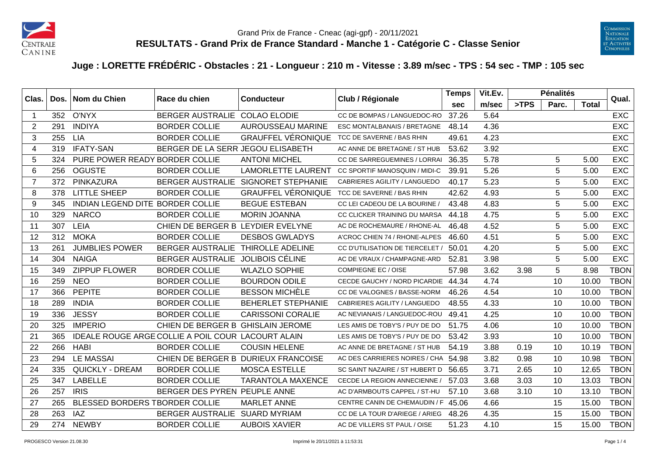



## **Juge : LORETTE FRÉDÉRIC - Obstacles : 21 - Longueur : 210 m - Vitesse : 3.89 m/sec - TPS : 54 sec - TMP : 105 sec**

|                | Clas.<br>Dos. | Nom du Chien                     | Race du chien                                      | Club / Régionale<br><b>Conducteur</b> | <b>Temps</b>                        | Vit.Ev.    |       | <b>Pénalités</b> |                | Qual.        |             |
|----------------|---------------|----------------------------------|----------------------------------------------------|---------------------------------------|-------------------------------------|------------|-------|------------------|----------------|--------------|-------------|
|                |               |                                  |                                                    |                                       |                                     | <b>sec</b> | m/sec | >TPS             | Parc.          | <b>Total</b> |             |
|                | 352           | O'NYX                            | BERGER AUSTRALIE COLAO ELODIE                      |                                       | CC DE BOMPAS / LANGUEDOC-RO         | 37.26      | 5.64  |                  |                |              | <b>EXC</b>  |
| $\overline{2}$ | 291           | <b>INDIYA</b>                    | <b>BORDER COLLIE</b>                               | <b>AUROUSSEAU MARINE</b>              | ESC MONTALBANAIS / BRETAGNE         | 48.14      | 4.36  |                  |                |              | <b>EXC</b>  |
| 3              | 255           | <b>LIA</b>                       | <b>BORDER COLLIE</b>                               | <b>GRAUFFEL VÉRONIQUE</b>             | TCC DE SAVERNE / BAS RHIN           | 49.61      | 4.23  |                  |                |              | <b>EXC</b>  |
| 4              | 319           | <b>IFATY-SAN</b>                 | BERGER DE LA SERR JEGOU ELISABETH                  |                                       | AC ANNE DE BRETAGNE / ST HUB        | 53.62      | 3.92  |                  |                |              | <b>EXC</b>  |
| 5              | 324           | PURE POWER READY BORDER COLLIE   |                                                    | <b>ANTONI MICHEL</b>                  | CC DE SARREGUEMINES / LORRAI        | 36.35      | 5.78  |                  | 5              | 5.00         | <b>EXC</b>  |
| 6              | 256           | <b>OGUSTE</b>                    | <b>BORDER COLLIE</b>                               | <b>LAMORLETTE LAURENT</b>             | CC SPORTIF MANOSQUIN / MIDI-C       | 39.91      | 5.26  |                  | $\overline{5}$ | 5.00         | <b>EXC</b>  |
| 7              | 372           | PINKAZURA                        | <b>BERGER AUSTRALIE</b>                            | <b>SIGNORET STEPHANIE</b>             | <b>CABRIERES AGILITY / LANGUEDO</b> | 40.17      | 5.23  |                  | 5              | 5.00         | <b>EXC</b>  |
| 8              | 378           | <b>LITTLE SHEEP</b>              | <b>BORDER COLLIE</b>                               | <b>GRAUFFEL VÉRONIQUE</b>             | TCC DE SAVERNE / BAS RHIN           | 42.62      | 4.93  |                  | 5              | 5.00         | <b>EXC</b>  |
| 9              | 345           | INDIAN LEGEND DITE BORDER COLLIE |                                                    | <b>BEGUE ESTEBAN</b>                  | CC LEI CADEOU DE LA BOURINE         | 43.48      | 4.83  |                  | 5              | 5.00         | <b>EXC</b>  |
| 10             | 329           | <b>NARCO</b>                     | <b>BORDER COLLIE</b>                               | <b>MORIN JOANNA</b>                   | CC CLICKER TRAINING DU MARSA        | 44.18      | 4.75  |                  | 5              | 5.00         | <b>EXC</b>  |
| 11             | 307           | LEIA                             | CHIEN DE BERGER B LEYDIER EVELYNE                  |                                       | AC DE ROCHEMAURE / RHONE-AL         | 46.48      | 4.52  |                  | $\overline{5}$ | 5.00         | <b>EXC</b>  |
| 12             | 312           | <b>MOKA</b>                      | <b>BORDER COLLIE</b>                               | <b>DESBOS GWLADYS</b>                 | A'CROC CHIEN 74 / RHONE-ALPES       | 46.60      | 4.51  |                  | $\overline{5}$ | 5.00         | <b>EXC</b>  |
| 13             | 261           | <b>JUMBLIES POWER</b>            | <b>BERGER AUSTRALIE</b>                            | <b>THIROLLE ADELINE</b>               | CC D'UTILISATION DE TIERCELET /     | 50.01      | 4.20  |                  | 5              | 5.00         | <b>EXC</b>  |
| 14             | 304           | <b>NAIGA</b>                     | <b>BERGER AUSTRALIE</b>                            | JOLIBOIS CÉLINE                       | AC DE VRAUX / CHAMPAGNE-ARD         | 52.81      | 3.98  |                  | 5              | 5.00         | <b>EXC</b>  |
| 15             | 349           | <b>ZIPPUP FLOWER</b>             | <b>BORDER COLLIE</b>                               | <b>WLAZLO SOPHIE</b>                  | COMPIEGNE EC / OISE                 | 57.98      | 3.62  | 3.98             | 5              | 8.98         | <b>TBON</b> |
| 16             | 259           | <b>NEO</b>                       | <b>BORDER COLLIE</b>                               | <b>BOURDON ODILE</b>                  | CECDE GAUCHY / NORD PICARDIE        | 44.34      | 4.74  |                  | 10             | 10.00        | <b>TBON</b> |
| 17             | 366           | <b>PEPITE</b>                    | <b>BORDER COLLIE</b>                               | <b>BESSON MICHÈLE</b>                 | CC DE VALOGNES / BASSE-NORM         | 46.26      | 4.54  |                  | 10             | 10.00        | <b>TBON</b> |
| 18             | 289           | <b>INDIA</b>                     | <b>BORDER COLLIE</b>                               | <b>BEHERLET STEPHANIE</b>             | CABRIERES AGILITY / LANGUEDO        | 48.55      | 4.33  |                  | 10             | 10.00        | <b>TBON</b> |
| 19             | 336           | <b>JESSY</b>                     | <b>BORDER COLLIE</b>                               | <b>CARISSONI CORALIE</b>              | AC NEVIANAIS / LANGUEDOC-ROU        | 49.41      | 4.25  |                  | 10             | 10.00        | <b>TBON</b> |
| 20             | 325           | <b>IMPERIO</b>                   | CHIEN DE BERGER B GHISLAIN JEROME                  |                                       | LES AMIS DE TOBY'S / PUY DE DO      | 51.75      | 4.06  |                  | 10             | 10.00        | <b>TBON</b> |
| 21             | 365           |                                  | IDEALE ROUGE ARGE COLLIE A POIL COUR LACOURT ALAIN |                                       | LES AMIS DE TOBY'S / PUY DE DO      | 53.42      | 3.93  |                  | 10             | 10.00        | <b>TBON</b> |
| 22             | 266           | <b>HABI</b>                      | <b>BORDER COLLIE</b>                               | <b>COUSIN HELENE</b>                  | AC ANNE DE BRETAGNE / ST HUB        | 54.19      | 3.88  | 0.19             | 10             | 10.19        | <b>TBON</b> |
| 23             | 294           | <b>LE MASSAI</b>                 |                                                    | CHIEN DE BERGER B DURIEUX FRANCOISE   | AC DES CARRIERES NOIRES / CHA       | 54.98      | 3.82  | 0.98             | 10             | 10.98        | <b>TBON</b> |
| 24             | 335           | <b>QUICKLY - DREAM</b>           | <b>BORDER COLLIE</b>                               | <b>MOSCA ESTELLE</b>                  | SC SAINT NAZAIRE / ST HUBERT D      | 56.65      | 3.71  | 2.65             | 10             | 12.65        | <b>TBON</b> |
| 25             | 347           | <b>LABELLE</b>                   | <b>BORDER COLLIE</b>                               | <b>TARANTOLA MAXENCE</b>              | CECDE LA REGION ANNECIENNE /        | 57.03      | 3.68  | 3.03             | 10             | 13.03        | <b>TBON</b> |
| 26             | 257           | <b>IRIS</b>                      | BERGER DES PYREN PEUPLE ANNE                       |                                       | AC D'ARMBOUTS CAPPEL / ST-HU        | 57.10      | 3.68  | 3.10             | 10             | 13.10        | <b>TBON</b> |
| 27             | 265           | BLESSED BORDERS TBORDER COLLIE   |                                                    | <b>MARLET ANNE</b>                    | CENTRE CANIN DE CHEMAUDIN / F       | 45.06      | 4.66  |                  | 15             | 15.00        | <b>TBON</b> |
| 28             | 263           | IAZ                              | BERGER AUSTRALIE SUARD MYRIAM                      |                                       | CC DE LA TOUR D'ARIEGE / ARIEG      | 48.26      | 4.35  |                  | 15             | 15.00        | <b>TBON</b> |
| 29             | 274           | <b>NEWBY</b>                     | <b>BORDER COLLIE</b>                               | <b>AUBOIS XAVIER</b>                  | AC DE VILLERS ST PAUL / OISE        | 51.23      | 4.10  |                  | 15             | 15.00        | <b>TBON</b> |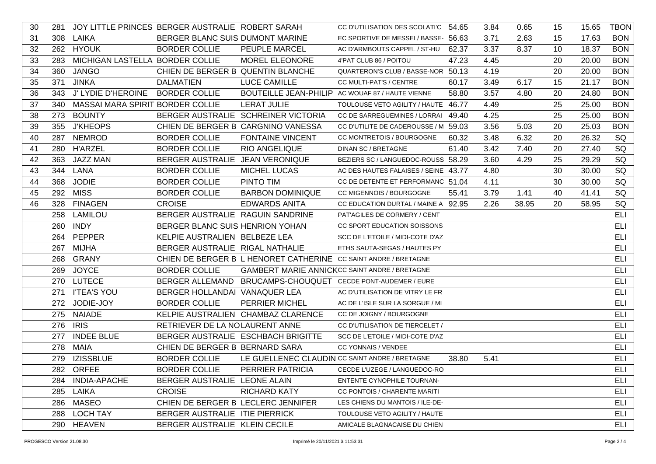| 30 | 281 |                                  | JOY LITTLE PRINCES BERGER AUSTRALIE ROBERT SARAH |                                     | CC D'UTILISATION DES SCOLATI'C 54.65                            |       | 3.84 | 0.65  | 15 | 15.65 | <b>TBON</b> |
|----|-----|----------------------------------|--------------------------------------------------|-------------------------------------|-----------------------------------------------------------------|-------|------|-------|----|-------|-------------|
| 31 | 308 | <b>LAIKA</b>                     | BERGER BLANC SUIS DUMONT MARINE                  |                                     | EC SPORTIVE DE MESSEI / BASSE- 56.63                            |       | 3.71 | 2.63  | 15 | 17.63 | <b>BON</b>  |
| 32 |     | 262 HYOUK                        | <b>BORDER COLLIE</b>                             | PEUPLE MARCEL                       | AC D'ARMBOUTS CAPPEL / ST-HU                                    | 62.37 | 3.37 | 8.37  | 10 | 18.37 | <b>BON</b>  |
| 33 | 283 | MICHIGAN LASTELLA BORDER COLLIE  |                                                  | <b>MOREL ELEONORE</b>               | 4'PAT CLUB 86 / POITOU                                          | 47.23 | 4.45 |       | 20 | 20.00 | <b>BON</b>  |
| 34 | 360 | <b>JANGO</b>                     | CHIEN DE BERGER B QUENTIN BLANCHE                |                                     | QUARTERON'S CLUB / BASSE-NOR 50.13                              |       | 4.19 |       | 20 | 20.00 | <b>BON</b>  |
| 35 | 371 | <b>JINKA</b>                     | <b>DALMATIEN</b>                                 | <b>LUCE CAMILLE</b>                 | CC MULTI-PAT'S / CENTRE                                         | 60.17 | 3.49 | 6.17  | 15 | 21.17 | <b>BON</b>  |
| 36 | 343 | J' LYDIE D'HEROINE               | <b>BORDER COLLIE</b>                             |                                     | BOUTEILLE JEAN-PHILIP AC WOUAF 87 / HAUTE VIENNE                | 58.80 | 3.57 | 4.80  | 20 | 24.80 | <b>BON</b>  |
| 37 | 340 | MASSAI MARA SPIRIT BORDER COLLIE |                                                  | <b>LERAT JULIE</b>                  | TOULOUSE VETO AGILITY / HAUTE 46.77                             |       | 4.49 |       | 25 | 25.00 | <b>BON</b>  |
| 38 | 273 | <b>BOUNTY</b>                    |                                                  | BERGER AUSTRALIE SCHREINER VICTORIA | CC DE SARREGUEMINES / LORRAI 49.40                              |       | 4.25 |       | 25 | 25.00 | <b>BON</b>  |
| 39 | 355 | <b>J'KHEOPS</b>                  |                                                  | CHIEN DE BERGER B CARGNINO VANESSA  | CC D'UTILITE DE CADEROUSSE / M 59.03                            |       | 3.56 | 5.03  | 20 | 25.03 | <b>BON</b>  |
| 40 | 287 | <b>NEMROD</b>                    | <b>BORDER COLLIE</b>                             | <b>FONTAINE VINCENT</b>             | CC MONTRETOIS / BOURGOGNE                                       | 60.32 | 3.48 | 6.32  | 20 | 26.32 | SQ          |
| 41 | 280 | <b>H'ARZEL</b>                   | <b>BORDER COLLIE</b>                             | RIO ANGELIQUE                       | DINAN SC / BRETAGNE                                             | 61.40 | 3.42 | 7.40  | 20 | 27.40 | SQ          |
| 42 | 363 | <b>JAZZ MAN</b>                  | BERGER AUSTRALIE JEAN VERONIQUE                  |                                     | BEZIERS SC / LANGUEDOC-ROUSS 58.29                              |       | 3.60 | 4.29  | 25 | 29.29 | SQ          |
| 43 |     | 344 LANA                         | <b>BORDER COLLIE</b>                             | <b>MICHEL LUCAS</b>                 | AC DES HAUTES FALAISES / SEINE 43.77                            |       | 4.80 |       | 30 | 30.00 | SQ          |
| 44 | 368 | <b>JODIE</b>                     | <b>BORDER COLLIE</b>                             | PINTO TIM                           | CC DE DETENTE ET PERFORMANC 51.04                               |       | 4.11 |       | 30 | 30.00 | SQ          |
| 45 | 292 | <b>MISS</b>                      | <b>BORDER COLLIE</b>                             | <b>BARBON DOMINIQUE</b>             | CC MIGENNOIS / BOURGOGNE                                        | 55.41 | 3.79 | 1.41  | 40 | 41.41 | SQ          |
| 46 |     | 328 FINAGEN                      | <b>CROISE</b>                                    | <b>EDWARDS ANITA</b>                | CC EDUCATION DURTAL / MAINE A 92.95                             |       | 2.26 | 38.95 | 20 | 58.95 | SQ          |
|    | 258 | LAMILOU                          | BERGER AUSTRALIE RAGUIN SANDRINE                 |                                     | PAT'AGILES DE CORMERY / CENT                                    |       |      |       |    |       | ELI         |
|    | 260 | <b>INDY</b>                      | BERGER BLANC SUIS HENRION YOHAN                  |                                     | CC SPORT EDUCATION SOISSONS                                     |       |      |       |    |       | <b>ELI</b>  |
|    |     | 264 PEPPER                       | KELPIE AUSTRALIEN BELBEZE LEA                    |                                     | SCC DE L'ETOILE / MIDI-COTE D'AZ                                |       |      |       |    |       | ELI         |
|    | 267 | <b>MIJHA</b>                     | BERGER AUSTRALIE RIGAL NATHALIE                  |                                     | ETHS SAUTA-SEGAS / HAUTES PY                                    |       |      |       |    |       | <b>ELI</b>  |
|    |     | 268 GRANY                        |                                                  |                                     | CHIEN DE BERGER B L HENORET CATHERINE CC SAINT ANDRE / BRETAGNE |       |      |       |    |       | <b>ELI</b>  |
|    |     | 269 JOYCE                        | <b>BORDER COLLIE</b>                             |                                     | <b>GAMBERT MARIE ANNICKCC SAINT ANDRE / BRETAGNE</b>            |       |      |       |    |       | ELI         |
|    |     | 270 LUTECE                       |                                                  |                                     | BERGER ALLEMAND  BRUCAMPS-CHOUQUET  CECDE PONT-AUDEMER / EURE   |       |      |       |    |       | ELI         |
|    |     | 271 I'TEA'S YOU                  | BERGER HOLLANDAI VANAQUER LEA                    |                                     | AC D'UTILISATION DE VITRY LE FR                                 |       |      |       |    |       | <b>ELI</b>  |
|    |     | 272 JODIE-JOY                    | <b>BORDER COLLIE</b>                             | <b>PERRIER MICHEL</b>               | AC DE L'ISLE SUR LA SORGUE / MI                                 |       |      |       |    |       | <b>ELI</b>  |
|    |     | 275 NAIADE                       |                                                  | KELPIE AUSTRALIEN CHAMBAZ CLARENCE  | CC DE JOIGNY / BOURGOGNE                                        |       |      |       |    |       | <b>ELI</b>  |
|    |     | 276 IRIS                         | RETRIEVER DE LA NOLAURENT ANNE                   |                                     | CC D'UTILISATION DE TIERCELET /                                 |       |      |       |    |       | ELI         |
|    | 277 | <b>INDEE BLUE</b>                |                                                  | BERGER AUSTRALIE ESCHBACH BRIGITTE  | SCC DE L'ETOILE / MIDI-COTE D'AZ                                |       |      |       |    |       | ELI         |
|    |     | 278 MAIA                         | CHIEN DE BERGER B BERNARD SARA                   |                                     | CC YONNAIS / VENDEE                                             |       |      |       |    |       | ELI         |
|    | 279 | <b>IZISSBLUE</b>                 | <b>BORDER COLLIE</b>                             |                                     | LE GUELLENEC CLAUDIN CC SAINT ANDRE / BRETAGNE                  | 38.80 | 5.41 |       |    |       | ELI         |
|    |     | 282 ORFEE                        | <b>BORDER COLLIE</b>                             | PERRIER PATRICIA                    | CECDE L'UZEGE / LANGUEDOC-RO                                    |       |      |       |    |       | ELI         |
|    |     | 284 INDIA-APACHE                 | BERGER AUSTRALIE LEONE ALAIN                     |                                     | ENTENTE CYNOPHILE TOURNAN-                                      |       |      |       |    |       | <b>ELI</b>  |
|    |     | 285 LAIKA                        | <b>CROISE</b>                                    | <b>RICHARD KATY</b>                 | <b>CC PONTOIS / CHARENTE MARITI</b>                             |       |      |       |    |       | ELI         |
|    |     | 286 MASEO                        | CHIEN DE BERGER B LECLERC JENNIFER               |                                     | LES CHIENS DU MANTOIS / ILE-DE-                                 |       |      |       |    |       | ELI         |
|    |     | 288 LOCH TAY                     | BERGER AUSTRALIE ITIE PIERRICK                   |                                     | TOULOUSE VETO AGILITY / HAUTE                                   |       |      |       |    |       | ELI         |
|    |     | 290 HEAVEN                       | BERGER AUSTRALIE KLEIN CECILE                    |                                     | AMICALE BLAGNACAISE DU CHIEN                                    |       |      |       |    |       | ELI         |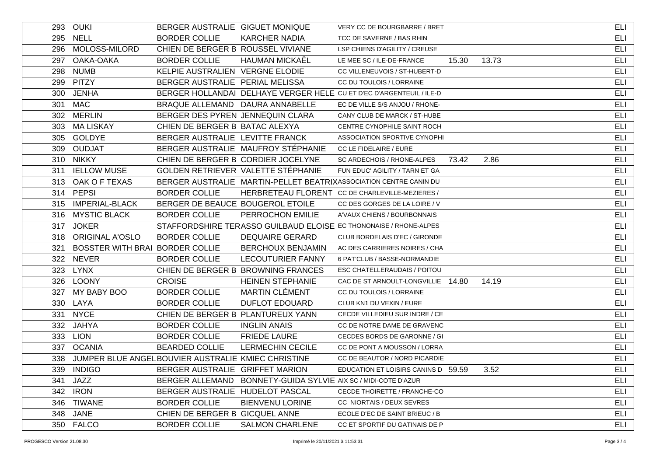|     | 293 OUKI                 | BERGER AUSTRALIE GIGUET MONIQUE                    |                                                                | VERY CC DE BOURGBARRE / BRET                                         |       |       | ELI        |
|-----|--------------------------|----------------------------------------------------|----------------------------------------------------------------|----------------------------------------------------------------------|-------|-------|------------|
|     | 295 NELL                 | <b>BORDER COLLIE</b>                               | <b>KARCHER NADIA</b>                                           | TCC DE SAVERNE / BAS RHIN                                            |       |       | ELI        |
|     | 296 MOLOSS-MILORD        | CHIEN DE BERGER B ROUSSEL VIVIANE                  |                                                                | LSP CHIENS D'AGILITY / CREUSE                                        |       |       | ELI        |
|     | 297 OAKA-OAKA            | <b>BORDER COLLIE</b>                               | <b>HAUMAN MICKAËL</b>                                          | LE MEE SC / ILE-DE-FRANCE                                            | 15.30 | 13.73 | ELI        |
|     | 298 NUMB                 | KELPIE AUSTRALIEN VERGNE ELODIE                    |                                                                | CC VILLENEUVOIS / ST-HUBERT-D                                        |       |       | ELI        |
|     | 299 PITZY                | BERGER AUSTRALIE PERIAL MELISSA                    |                                                                | CC DU TOULOIS / LORRAINE                                             |       |       | ELI        |
|     | 300 JENHA                |                                                    |                                                                | BERGER HOLLANDAI DELHAYE VERGER HELE CU ET D'EC D'ARGENTEUIL / ILE-D |       |       | ELI        |
|     | 301 MAC                  | BRAQUE ALLEMAND DAURA ANNABELLE                    |                                                                | EC DE VILLE S/S ANJOU / RHONE-                                       |       |       | <b>ELI</b> |
|     | 302 MERLIN               | BERGER DES PYREN JENNEQUIN CLARA                   |                                                                | CANY CLUB DE MARCK / ST-HUBE                                         |       |       | ELI        |
|     | 303 MA LISKAY            | CHIEN DE BERGER B BATAC ALEXYA                     |                                                                | CENTRE CYNOPHILE SAINT ROCH                                          |       |       | ELI        |
|     | 305 GOLDYE               | BERGER AUSTRALIE LEVITTE FRANCK                    |                                                                | ASSOCIATION SPORTIVE CYNOPHI                                         |       |       | ELI        |
|     | 309 OUDJAT               |                                                    | BERGER AUSTRALIE MAUFROY STÉPHANIE                             | CC LE FIDELAIRE / EURE                                               |       |       | ELI        |
|     | 310 NIKKY                |                                                    | CHIEN DE BERGER B CORDIER JOCELYNE                             | SC ARDECHOIS / RHONE-ALPES                                           | 73.42 | 2.86  | ELI        |
|     | 311 IELLOW MUSE          |                                                    | GOLDEN RETRIEVER VALETTE STÉPHANIE                             | FUN EDUC' AGILITY / TARN ET GA                                       |       |       | ELI        |
|     | 313 OAK OF TEXAS         |                                                    |                                                                | BERGER AUSTRALIE MARTIN-PELLET BEATRIXASSOCIATION CENTRE CANIN DU    |       |       | ELI        |
|     | 314 PEPSI                | <b>BORDER COLLIE</b>                               |                                                                | HERBRETEAU FLORENT CC DE CHARLEVILLE-MEZIERES /                      |       |       | ELI        |
|     | 315 IMPERIAL-BLACK       | BERGER DE BEAUCE BOUGEROL ETOILE                   |                                                                | CC DES GORGES DE LA LOIRE / V                                        |       |       | <b>ELI</b> |
|     | 316 MYSTIC BLACK         | <b>BORDER COLLIE</b>                               | PERROCHON EMILIE                                               | A'VAUX CHIENS / BOURBONNAIS                                          |       |       | ELI        |
|     | 317 JOKER                |                                                    |                                                                | STAFFORDSHIRE TERASSO GUILBAUD ELOISE EC THONONAISE / RHONE-ALPES    |       |       | <b>ELI</b> |
|     | 318 ORIGINAL A'OSLO      | <b>BORDER COLLIE</b>                               | <b>DEQUAIRE GERARD</b>                                         | CLUB BORDELAIS D'EC / GIRONDE                                        |       |       | ELI        |
| 321 | <b>BOSSTER WITH BRAI</b> | <b>BORDER COLLIE</b>                               | <b>BERCHOUX BENJAMIN</b>                                       | AC DES CARRIERES NOIRES / CHA                                        |       |       | ELI        |
|     | 322 NEVER                | <b>BORDER COLLIE</b>                               | <b>LECOUTURIER FANNY</b>                                       | 6 PAT'CLUB / BASSE-NORMANDIE                                         |       |       | ELI        |
|     | 323 LYNX                 |                                                    | CHIEN DE BERGER B BROWNING FRANCES                             | ESC CHATELLERAUDAIS / POITOU                                         |       |       | ELI        |
|     | 326 LOONY                | <b>CROISE</b>                                      | <b>HEINEN STEPHANIE</b>                                        | CAC DE ST ARNOULT-LONGVILLIE 14.80                                   |       | 14.19 | ELI        |
|     | 327 MY BABY BOO          | <b>BORDER COLLIE</b>                               | <b>MARTIN CLÉMENT</b>                                          | CC DU TOULOIS / LORRAINE                                             |       |       | ELI        |
|     | 330 LAYA                 | <b>BORDER COLLIE</b>                               | <b>DUFLOT EDOUARD</b>                                          | CLUB KN1 DU VEXIN / EURE                                             |       |       | ELI        |
|     | 331 NYCE                 | CHIEN DE BERGER B PLANTUREUX YANN                  |                                                                | CECDE VILLEDIEU SUR INDRE / CE                                       |       |       | ELI        |
|     | 332 JAHYA                | <b>BORDER COLLIE</b>                               | <b>INGLIN ANAIS</b>                                            | CC DE NOTRE DAME DE GRAVENC                                          |       |       | ELI        |
|     | 333 LION                 | <b>BORDER COLLIE</b>                               | <b>FRIEDE LAURE</b>                                            | CECDES BORDS DE GARONNE / GI                                         |       |       | ELI        |
|     | 337 OCANIA               | <b>BEARDED COLLIE</b>                              | <b>LERMECHIN CECILE</b>                                        | CC DE PONT A MOUSSON / LORRA                                         |       |       | ELI        |
| 338 |                          | JUMPER BLUE ANGELBOUVIER AUSTRALIE KMIEC CHRISTINE |                                                                | CC DE BEAUTOR / NORD PICARDIE                                        |       |       | <b>ELI</b> |
|     | 339 INDIGO               | BERGER AUSTRALIE GRIFFET MARION                    |                                                                | EDUCATION ET LOISIRS CANINS D 59.59                                  |       | 3.52  | ELI        |
|     | 341 JAZZ                 |                                                    | BERGER ALLEMAND BONNETY-GUIDA SYLVIE AIX SC / MIDI-COTE D'AZUR |                                                                      |       |       | ELI        |
|     | 342 IRON                 | BERGER AUSTRALIE HUDELOT PASCAL                    |                                                                | CECDE THOIRETTE / FRANCHE-CO                                         |       |       | ELI        |
| 346 | <b>TIWANE</b>            | <b>BORDER COLLIE</b>                               | <b>BIENVENU LORINE</b>                                         | CC NIORTAIS / DEUX SEVRES                                            |       |       | ELI        |
|     | 348 JANE                 | CHIEN DE BERGER B GICQUEL ANNE                     |                                                                | ECOLE D'EC DE SAINT BRIEUC / B                                       |       |       | ELI        |
|     | 350 FALCO                | BORDER COLLIE                                      | <b>SALMON CHARLENE</b>                                         | CC ET SPORTIF DU GATINAIS DE P                                       |       |       | ELI        |